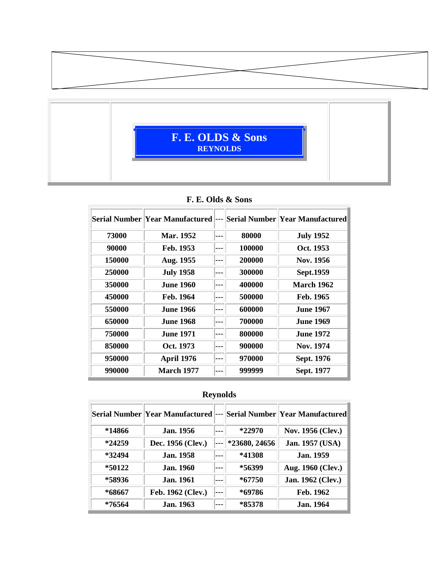



#### **F. E. Olds & Sons**

|        | Serial Number  Year Manufactured | --- |        | Serial Number  Year Manufactured |
|--------|----------------------------------|-----|--------|----------------------------------|
| 73000  | <b>Mar. 1952</b>                 |     | 80000  | <b>July 1952</b>                 |
| 90000  | Feb. 1953                        |     | 100000 | Oct. 1953                        |
| 150000 | Aug. 1955                        |     | 200000 | Nov. 1956                        |
| 250000 | <b>July 1958</b>                 |     | 300000 | Sept.1959                        |
| 350000 | <b>June 1960</b>                 |     | 400000 | <b>March 1962</b>                |
| 450000 | Feb. 1964                        |     | 500000 | Feb. 1965                        |
| 550000 | <b>June 1966</b>                 |     | 600000 | <b>June 1967</b>                 |
| 650000 | <b>June 1968</b>                 |     | 700000 | <b>June 1969</b>                 |
| 750000 | <b>June 1971</b>                 |     | 800000 | <b>June 1972</b>                 |
| 850000 | Oct. 1973                        |     | 900000 | Nov. 1974                        |
| 950000 | April 1976                       |     | 970000 | Sept. 1976                       |
| 990000 | <b>March 1977</b>                |     | 999999 | Sept. 1977                       |

# **Reynolds**

|          | Serial Number Year Manufactured | $---$ |               | <b>Serial Number Year Manufactured</b> |
|----------|---------------------------------|-------|---------------|----------------------------------------|
| *14866   | <b>Jan.</b> 1956                |       | $*22970$      | Nov. 1956 (Clev.)                      |
| $*24259$ | Dec. 1956 (Clev.)               |       | *23680, 24656 | Jan. 1957 (USA)                        |
| $*32494$ | <b>Jan.</b> 1958                |       | *41308        | <b>Jan.</b> 1959                       |
| *50122   | <b>Jan.</b> 1960                |       | *56399        | Aug. 1960 (Clev.)                      |
| *58936   | <b>Jan.</b> 1961                |       | $*67750$      | <b>Jan. 1962 (Clev.)</b>               |
| *68667   | Feb. 1962 (Clev.)               |       | *69786        | Feb. 1962                              |
| *76564   | <b>Jan.</b> 1963                |       | *85378        | <b>Jan.</b> 1964                       |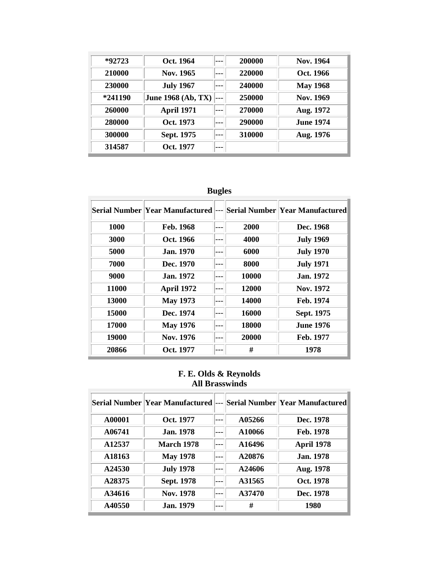| $*92723$ | Oct. 1964          | 200000 | Nov. 1964        |
|----------|--------------------|--------|------------------|
| 210000   | Nov. 1965          | 220000 | Oct. 1966        |
| 230000   | <b>July 1967</b>   | 240000 | <b>May 1968</b>  |
| *241190  | June 1968 (Ab, TX) | 250000 | Nov. 1969        |
| 260000   | <b>April 1971</b>  | 270000 | Aug. 1972        |
| 280000   | Oct. 1973          | 290000 | <b>June 1974</b> |
| 300000   | Sept. 1975         | 310000 | Aug. 1976        |
| 314587   | Oct. 1977          |        |                  |

# **Bugles**

|       | Serial Number Year Manufactured | $---$ |       | Serial Number Year Manufactured |
|-------|---------------------------------|-------|-------|---------------------------------|
| 1000  | Feb. 1968                       |       | 2000  | Dec. 1968                       |
| 3000  | Oct. 1966                       |       | 4000  | <b>July 1969</b>                |
| 5000  | <b>Jan.</b> 1970                |       | 6000  | <b>July 1970</b>                |
| 7000  | Dec. 1970                       |       | 8000  | <b>July 1971</b>                |
| 9000  | <b>Jan.</b> 1972                |       | 10000 | <b>Jan.</b> 1972                |
| 11000 | <b>April 1972</b>               |       | 12000 | Nov. 1972                       |
| 13000 | <b>May 1973</b>                 |       | 14000 | Feb. 1974                       |
| 15000 | Dec. 1974                       |       | 16000 | Sept. 1975                      |
| 17000 | <b>May 1976</b>                 |       | 18000 | <b>June 1976</b>                |
| 19000 | Nov. 1976                       |       | 20000 | Feb. 1977                       |
| 20866 | Oct. 1977                       |       | #     | 1978                            |

### **F. E. Olds & Reynolds All Brasswinds**

|                    | Serial Number  Year Manufactured | ---   |        | Serial Number  Year Manufactured |
|--------------------|----------------------------------|-------|--------|----------------------------------|
| A00001             | Oct. 1977                        | $---$ | A05266 | Dec. 1978                        |
| A06741             | <b>Jan.</b> 1978                 |       | A10066 | Feb. 1978                        |
| A <sub>12537</sub> | <b>March 1978</b>                |       | A16496 | <b>April 1978</b>                |
| A18163             | <b>May 1978</b>                  |       | A20876 | <b>Jan.</b> 1978                 |
| A24530             | <b>July 1978</b>                 |       | A24606 | Aug. 1978                        |
| A28375             | Sept. 1978                       |       | A31565 | Oct. 1978                        |
| A34616             | Nov. 1978                        |       | A37470 | Dec. 1978                        |
| A40550             | <b>Jan.</b> 1979                 | ---   | #      | 1980                             |